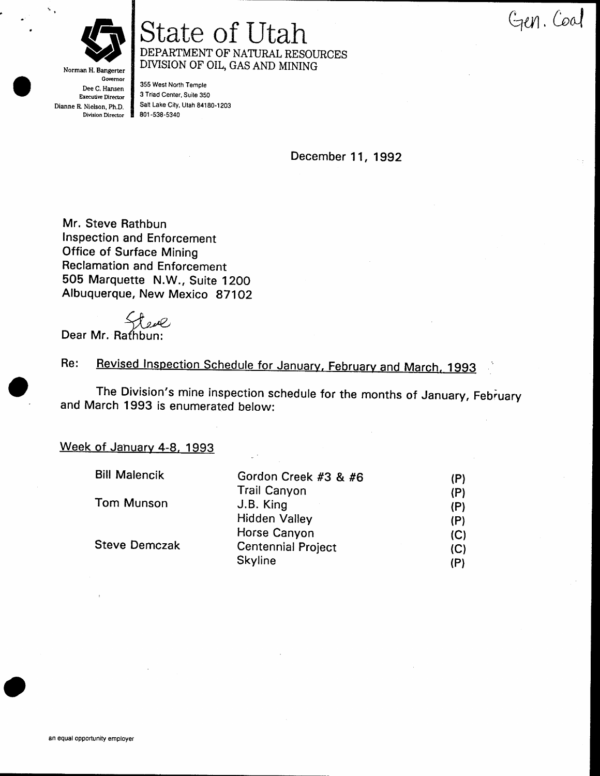

# State of Utah Gen. Coal DEPARTMENT OF NATURAL RESOURCES DIVISION OF OIL, GAS AND MINING

Governor Dee C. Hansen Executive Director Dianne R Nielson, Ph.D. Division Director

Norman H. Bangerter

355 West North Temple 3 Triad Center, Suite 3S0 Salt Lake City, Utah 84180-1203 801 -538-5340

December 11, 1992

Mr. Steve Rathbun lnspection and Enforcement Office of Surface Mining Reclamation and Enforcement 505 Marquette N.W., Suite 1200 Albuquerque, New Mexico 871Oz

ج<br>Dear Mr. Rathbun:

Revised Inspection Schedule for January, February and March, 1993 Re:

The Division's mine inspection schedule for the months of January, February and March 1993 is enumerated below:

#### Week of January 4-8, 1993

| <b>Bill Malencik</b> | Gordon Creek #3 & #6      | (P) |
|----------------------|---------------------------|-----|
|                      | <b>Trail Canyon</b>       | (P) |
| Tom Munson           | J.B. King                 | (P) |
|                      | <b>Hidden Valley</b>      | (P) |
|                      | Horse Canyon              | (C) |
| <b>Steve Demczak</b> | <b>Centennial Project</b> | (C) |
|                      | <b>Skyline</b>            | (P) |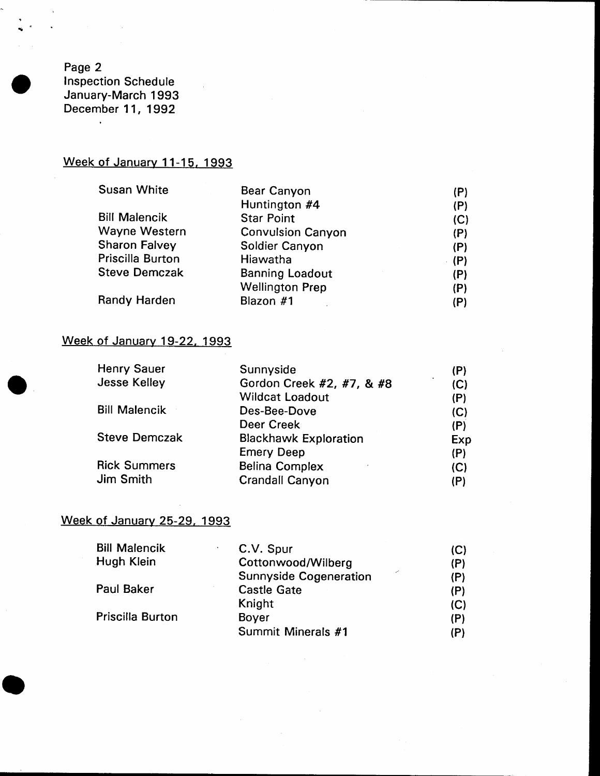Page 2 lnspection Schedule January-March 1993 December 11, 1992

 $\bar{\star}$ 

## Week of January 11-15, 1993

| <b>Susan White</b>   | Bear Canyon              | (P)   |
|----------------------|--------------------------|-------|
|                      | Huntington #4            | (P)   |
| <b>Bill Malencik</b> | <b>Star Point</b>        | (C)   |
| Wayne Western        | <b>Convulsion Canyon</b> | (P)   |
| <b>Sharon Falvey</b> | Soldier Canyon           | (P)   |
| Priscilla Burton     | Hiawatha                 | - (P) |
| <b>Steve Demczak</b> | <b>Banning Loadout</b>   | (P)   |
|                      | <b>Wellington Prep</b>   | (P)   |
| Randy Harden         | Blazon #1                | (P)   |

#### Week of January 19-22, 1993

| <b>Henry Sauer</b>   | Sunnyside                    | (P) |
|----------------------|------------------------------|-----|
| <b>Jesse Kelley</b>  | Gordon Creek #2, #7, & #8    | (C) |
|                      | <b>Wildcat Loadout</b>       | (P) |
| <b>Bill Malencik</b> | Des-Bee-Dove                 | (C) |
|                      | Deer Creek                   | (P) |
| <b>Steve Demczak</b> | <b>Blackhawk Exploration</b> | Exp |
|                      | <b>Emery Deep</b>            | (P) |
| <b>Rick Summers</b>  | <b>Belina Complex</b>        | (C) |
| Jim Smith            | <b>Crandall Canyon</b>       | (P) |
|                      |                              |     |

### Week of Januarv 25-29, 1993

| <b>Bill Malencik</b>    | C.V. Spur                     | (C) |
|-------------------------|-------------------------------|-----|
| Hugh Klein              | Cottonwood/Wilberg            | (P) |
|                         | <b>Sunnyside Cogeneration</b> | (P) |
| <b>Paul Baker</b>       | <b>Castle Gate</b>            | (P) |
|                         | Knight                        | (C) |
| <b>Priscilla Burton</b> | <b>Boyer</b>                  | (P) |
|                         | Summit Minerals #1            | (P) |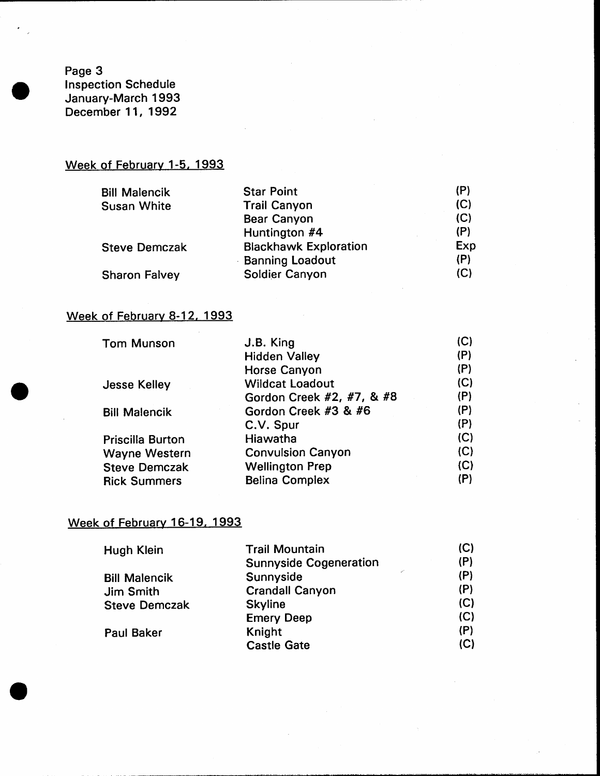Page 3 Inspection Schedule January-March 1993 December 11, 1992

### Week of February 1-5, 1993

| <b>Star Point</b>            | (P) |
|------------------------------|-----|
| <b>Trail Canyon</b>          | (C) |
| Bear Canyon                  | (C) |
| Huntington #4                | (P) |
| <b>Blackhawk Exploration</b> | Exp |
| <b>Banning Loadout</b>       | (P) |
| Soldier Canyon               | (C) |
|                              |     |

#### Week of February 8-12, 1993

| <b>Tom Munson</b>       | J.B. King                 | (C) |
|-------------------------|---------------------------|-----|
|                         | <b>Hidden Valley</b>      | (P) |
|                         | <b>Horse Canyon</b>       | (P) |
| <b>Jesse Kelley</b>     | <b>Wildcat Loadout</b>    | (C) |
|                         | Gordon Creek #2, #7, & #8 | (P) |
| <b>Bill Malencik</b>    | Gordon Creek #3 & #6      | (P) |
|                         | C.V. Spur                 | (P) |
| <b>Priscilla Burton</b> | Hiawatha                  | (C) |
| <b>Wayne Western</b>    | <b>Convulsion Canyon</b>  | (C) |
| <b>Steve Demczak</b>    | <b>Wellington Prep</b>    | (C) |
| <b>Rick Summers</b>     | <b>Belina Complex</b>     | (P) |
|                         |                           |     |

#### Week of February 16-19. 1993

| Hugh Klein           | <b>Trail Mountain</b>         | (C) |
|----------------------|-------------------------------|-----|
|                      | <b>Sunnyside Cogeneration</b> | (P) |
| <b>Bill Malencik</b> | من<br>Sunnyside               | (P) |
| Jim Smith            | <b>Crandall Canyon</b>        | (P) |
| <b>Steve Demczak</b> | <b>Skyline</b>                | (C) |
|                      | <b>Emery Deep</b>             | (C) |
| <b>Paul Baker</b>    | Knight                        | (P) |
|                      | <b>Castle Gate</b>            | (C) |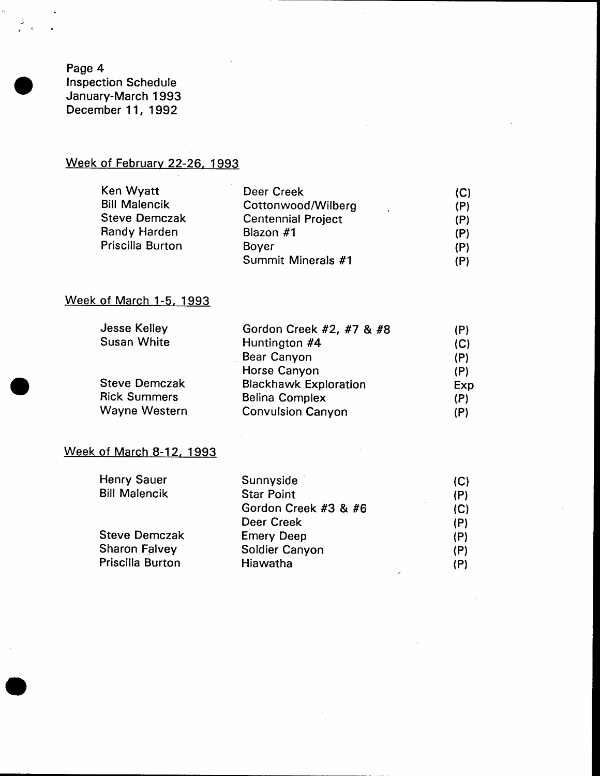Page 4 Inspection Schedule January-March 1993 December 11, 1992

#### Week of February 22-26, 1993

| Ken Wyatt            | Deer Creek                            | (C) |
|----------------------|---------------------------------------|-----|
| <b>Bill Malencik</b> | Cottonwood/Wilberg<br><b>Contract</b> | (P) |
| <b>Steve Demczak</b> | <b>Centennial Project</b>             | (P) |
| Randy Harden         | Blazon #1                             | (P) |
| Priscilla Burton     | <b>Bover</b>                          | (P) |
|                      | Summit Minerals #1                    | (P) |

### Week of March 1-5, 1993

| <b>Jesse Kelley</b>  | Gordon Creek #2, #7 & #8     | (P) |
|----------------------|------------------------------|-----|
| <b>Susan White</b>   | Huntington #4                | (C) |
|                      | Bear Canyon                  | (P) |
|                      | Horse Canyon                 | (P) |
| <b>Steve Demczak</b> | <b>Blackhawk Exploration</b> | Exp |
| <b>Rick Summers</b>  | <b>Belina Complex</b>        | (P) |
| Wayne Western        | <b>Convulsion Canyon</b>     | (P) |

#### Week of March 8-12, 1993

| Henry Sauer          | Sunnyside            | (C) |
|----------------------|----------------------|-----|
| <b>Bill Malencik</b> | <b>Star Point</b>    | (P) |
|                      | Gordon Creek #3 & #6 | (C) |
|                      | Deer Creek           | (P) |
| <b>Steve Demczak</b> | <b>Emery Deep</b>    | (P) |
| <b>Sharon Falvey</b> | Soldier Canyon       | (P) |
| Priscilla Burton     | Hiawatha             | (P) |
|                      |                      |     |